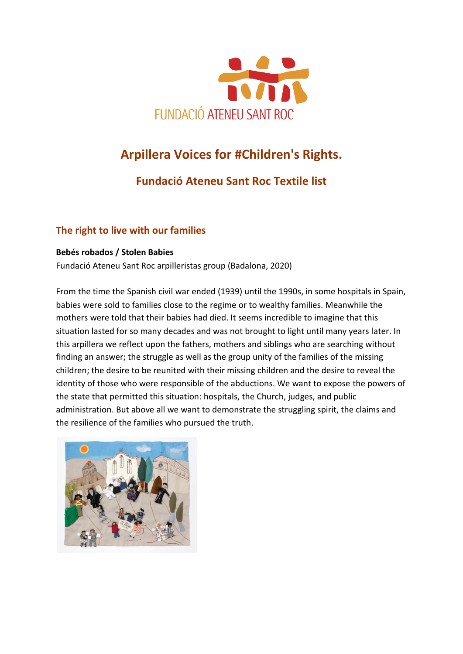

# **[Arpillera Voices for #Children's Rights.](https://www.roevalleyarts.com/exhibitions/arpillera-voices-for-childrens-rights)**

## **Fundació [Ateneu Sant Roc](https://www.fundacioateneusantroc.org/) Textile list**

#### **The right to live with our families**

#### **Bebés robados / Stolen Babies**

Fundació Ateneu Sant Roc arpilleristas group (Badalona, 2020)

From the time the Spanish civil war ended (1939) until the 1990s, in some hospitals in Spain, babies were sold to families close to the regime or to wealthy families. Meanwhile the mothers were told that their babies had died. It seems incredible to imagine that this situation lasted for so many decades and was not brought to light until many years later. In this arpillera we reflect upon the fathers, mothers and siblings who are searching without finding an answer; the struggle as well as the group unity of the families of the missing children; the desire to be reunited with their missing children and the desire to reveal the identity of those who were responsible of the abductions. We want to expose the powers of the state that permitted this situation: hospitals, the Church, judges, and public administration. But above all we want to demonstrate the struggling spirit, the claims and the resilience of the families who pursued the truth.

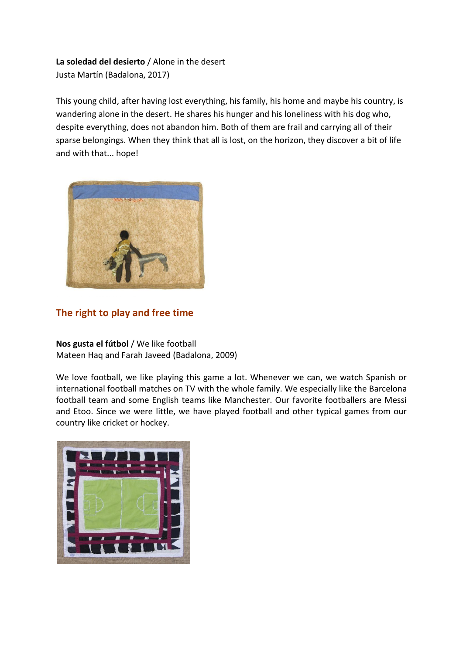#### **La soledad del desierto** / Alone in the desert Justa Martín (Badalona, 2017)

This young child, after having lost everything, his family, his home and maybe his country, is wandering alone in the desert. He shares his hunger and his loneliness with his dog who, despite everything, does not abandon him. Both of them are frail and carrying all of their sparse belongings. When they think that all is lost, on the horizon, they discover a bit of life and with that... hope!



#### **The right to play and free time**

**Nos gusta el fútbol** / We like football Mateen Haq and Farah Javeed (Badalona, 2009)

We love football, we like playing this game a lot. Whenever we can, we watch Spanish or international football matches on TV with the whole family. We especially like the Barcelona football team and some English teams like Manchester. Our favorite footballers are Messi and Etoo. Since we were little, we have played football and other typical games from our country like cricket or hockey.

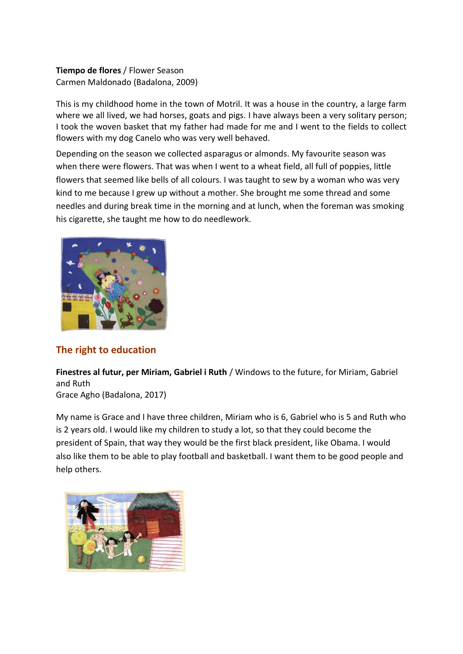**Tiempo de flores** / Flower Season Carmen Maldonado (Badalona, 2009)

This is my childhood home in the town of Motril. It was a house in the country, a large farm where we all lived, we had horses, goats and pigs. I have always been a very solitary person; I took the woven basket that my father had made for me and I went to the fields to collect flowers with my dog Canelo who was very well behaved.

Depending on the season we collected asparagus or almonds. My favourite season was when there were flowers. That was when I went to a wheat field, all full of poppies, little flowers that seemed like bells of all colours. I was taught to sew by a woman who was very kind to me because I grew up without a mother. She brought me some thread and some needles and during break time in the morning and at lunch, when the foreman was smoking his cigarette, she taught me how to do needlework.



#### **The right to education**

**Finestres al futur, per Miriam, Gabriel i Ruth** / Windows to the future, for Miriam, Gabriel and Ruth

Grace Agho (Badalona, 2017)

My name is Grace and I have three children, Miriam who is 6, Gabriel who is 5 and Ruth who is 2 years old. I would like my children to study a lot, so that they could become the president of Spain, that way they would be the first black president, like Obama. I would also like them to be able to play football and basketball. I want them to be good people and help others.

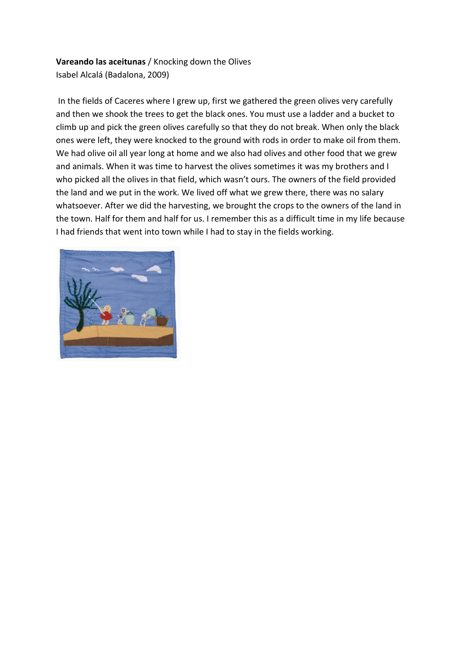#### **Vareando las aceitunas** / Knocking down the Olives Isabel Alcalá (Badalona, 2009)

In the fields of Caceres where I grew up, first we gathered the green olives very carefully and then we shook the trees to get the black ones. You must use a ladder and a bucket to climb up and pick the green olives carefully so that they do not break. When only the black ones were left, they were knocked to the ground with rods in order to make oil from them. We had olive oil all year long at home and we also had olives and other food that we grew and animals. When it was time to harvest the olives sometimes it was my brothers and I who picked all the olives in that field, which wasn't ours. The owners of the field provided the land and we put in the work. We lived off what we grew there, there was no salary whatsoever. After we did the harvesting, we brought the crops to the owners of the land in the town. Half for them and half for us. I remember this as a difficult time in my life because I had friends that went into town while I had to stay in the fields working.

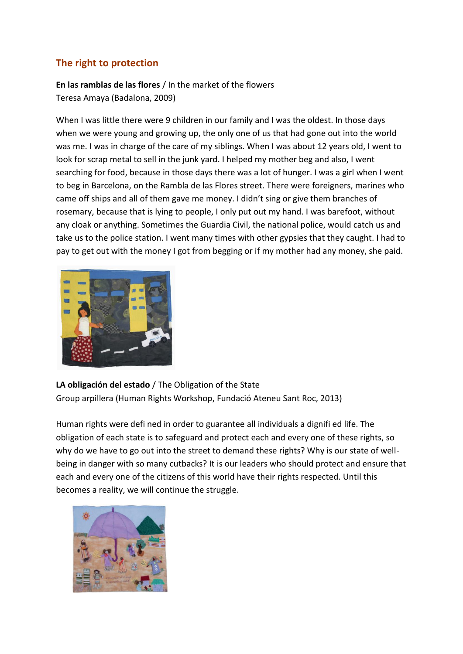#### **The right to protection**

**En las ramblas de las flores** / In the market of the flowers Teresa Amaya (Badalona, 2009)

When I was little there were 9 children in our family and I was the oldest. In those days when we were young and growing up, the only one of us that had gone out into the world was me. I was in charge of the care of my siblings. When I was about 12 years old, I went to look for scrap metal to sell in the junk yard. I helped my mother beg and also, I went searching for food, because in those days there was a lot of hunger. I was a girl when I went to beg in Barcelona, on the Rambla de las Flores street. There were foreigners, marines who came off ships and all of them gave me money. I didn't sing or give them branches of rosemary, because that is lying to people, I only put out my hand. I was barefoot, without any cloak or anything. Sometimes the Guardia Civil, the national police, would catch us and take us to the police station. I went many times with other gypsies that they caught. I had to pay to get out with the money I got from begging or if my mother had any money, she paid.



**LA obligación del estado** / The Obligation of the State Group arpillera (Human Rights Workshop, Fundació Ateneu Sant Roc, 2013)

Human rights were defi ned in order to guarantee all individuals a dignifi ed life. The obligation of each state is to safeguard and protect each and every one of these rights, so why do we have to go out into the street to demand these rights? Why is our state of wellbeing in danger with so many cutbacks? It is our leaders who should protect and ensure that each and every one of the citizens of this world have their rights respected. Until this becomes a reality, we will continue the struggle.